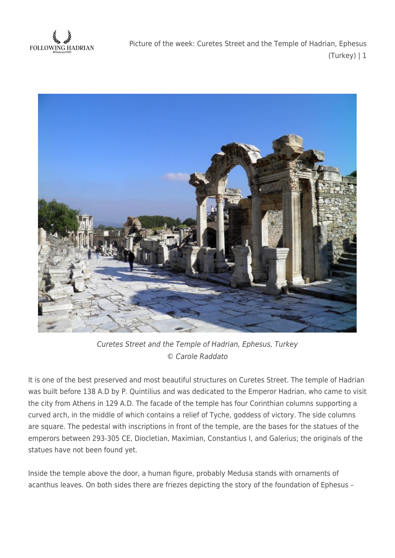**FOLLOWING HADRIAN** 

Picture of the week: Curetes Street and the Temple of Hadrian, Ephesus (Turkey) | 1



Curetes Street and the Temple of Hadrian, Ephesus, Turkey © Carole Raddato

It is one of the best preserved and most beautiful structures on Curetes Street. The temple of Hadrian was built before 138 A.D by P. Quintilius and was dedicated to the Emperor Hadrian, who came to visit the city from Athens in 129 A.D. The facade of the temple has four Corinthian columns supporting a curved arch, in the middle of which contains a relief of Tyche, goddess of victory. The side columns are square. The pedestal with inscriptions in front of the temple, are the bases for the statues of the emperors between 293-305 CE, Diocletian, Maximian, Constantius I, and Galerius; the originals of the statues have not been found yet.

Inside the temple above the door, a human figure, probably Medusa stands with ornaments of acanthus leaves. On both sides there are friezes depicting the story of the foundation of Ephesus –